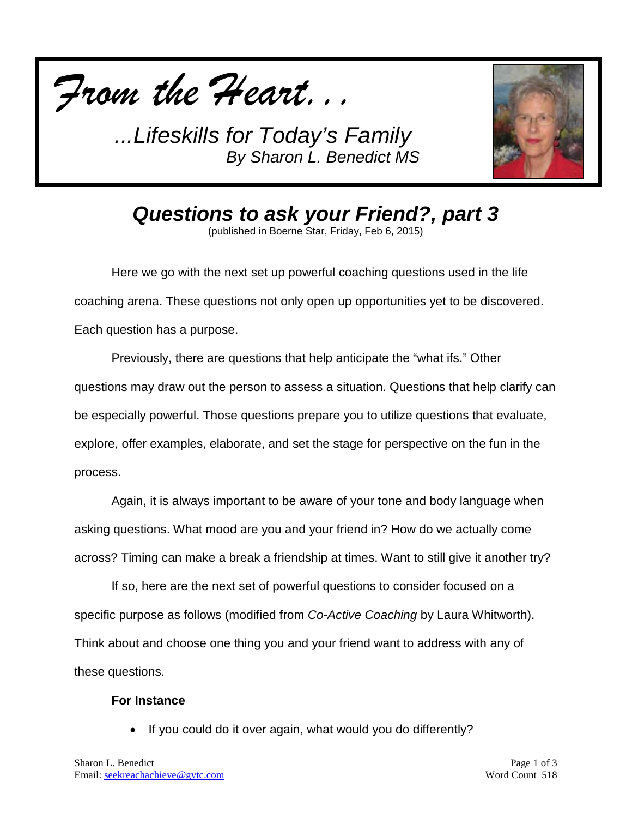



*Questions to ask your Friend?, part 3*

(published in Boerne Star, Friday, Feb 6, 2015)

Here we go with the next set up powerful coaching questions used in the life coaching arena. These questions not only open up opportunities yet to be discovered. Each question has a purpose.

Previously, there are questions that help anticipate the "what ifs." Other questions may draw out the person to assess a situation. Questions that help clarify can be especially powerful. Those questions prepare you to utilize questions that evaluate, explore, offer examples, elaborate, and set the stage for perspective on the fun in the process.

Again, it is always important to be aware of your tone and body language when asking questions. What mood are you and your friend in? How do we actually come across? Timing can make a break a friendship at times. Want to still give it another try?

If so, here are the next set of powerful questions to consider focused on a specific purpose as follows (modified from *Co-Active Coaching* by Laura Whitworth). Think about and choose one thing you and your friend want to address with any of these questions.

#### **For Instance**

If you could do it over again, what would you do differently?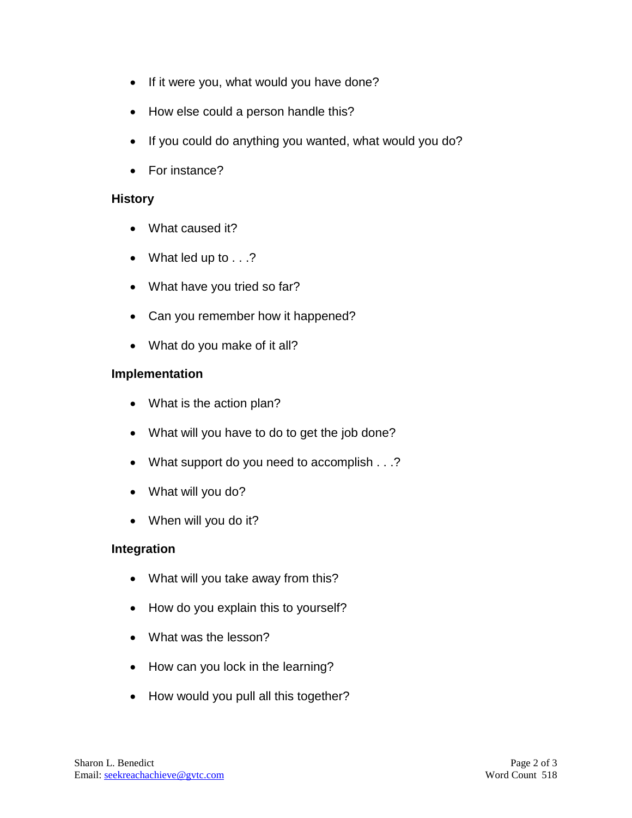- If it were you, what would you have done?
- How else could a person handle this?
- If you could do anything you wanted, what would you do?
- For instance?

#### **History**

- What caused it?
- What led up to . . .?
- What have you tried so far?
- Can you remember how it happened?
- What do you make of it all?

## **Implementation**

- What is the action plan?
- What will you have to do to get the job done?
- What support do you need to accomplish . . .?
- What will you do?
- When will you do it?

## **Integration**

- What will you take away from this?
- How do you explain this to yourself?
- What was the lesson?
- How can you lock in the learning?
- How would you pull all this together?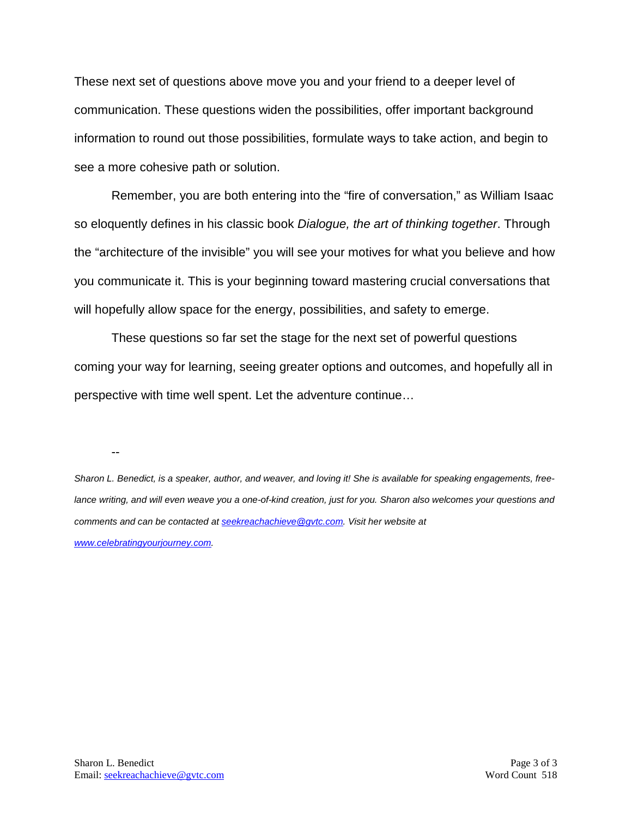These next set of questions above move you and your friend to a deeper level of communication. These questions widen the possibilities, offer important background information to round out those possibilities, formulate ways to take action, and begin to see a more cohesive path or solution.

Remember, you are both entering into the "fire of conversation," as William Isaac so eloquently defines in his classic book *Dialogue, the art of thinking together*. Through the "architecture of the invisible" you will see your motives for what you believe and how you communicate it. This is your beginning toward mastering crucial conversations that will hopefully allow space for the energy, possibilities, and safety to emerge.

These questions so far set the stage for the next set of powerful questions coming your way for learning, seeing greater options and outcomes, and hopefully all in perspective with time well spent. Let the adventure continue…

--

*Sharon L. Benedict, is a speaker, author, and weaver, and loving it! She is available for speaking engagements, freelance writing, and will even weave you a one-of-kind creation, just for you. Sharon also welcomes your questions and comments and can be contacted a[t seekreachachieve@gvtc.com.](mailto:seekreachachieve@gvtc.com) Visit her website at [www.celebratingyourjourney.com.](http://www.celebratingyourjourney.com/)*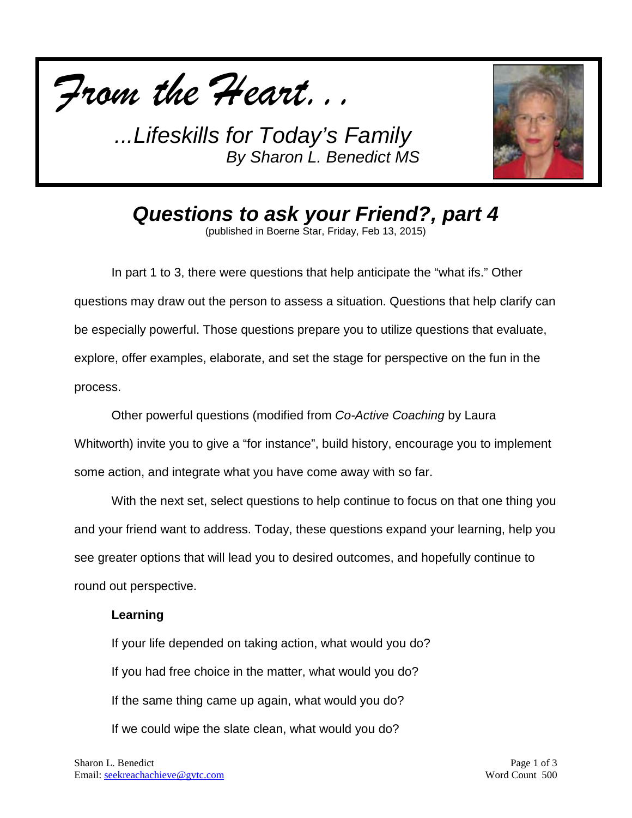



*Questions to ask your Friend?, part 4*

(published in Boerne Star, Friday, Feb 13, 2015)

In part 1 to 3, there were questions that help anticipate the "what ifs." Other questions may draw out the person to assess a situation. Questions that help clarify can be especially powerful. Those questions prepare you to utilize questions that evaluate, explore, offer examples, elaborate, and set the stage for perspective on the fun in the process.

Other powerful questions (modified from *Co-Active Coaching* by Laura Whitworth) invite you to give a "for instance", build history, encourage you to implement some action, and integrate what you have come away with so far.

With the next set, select questions to help continue to focus on that one thing you and your friend want to address. Today, these questions expand your learning, help you see greater options that will lead you to desired outcomes, and hopefully continue to round out perspective.

#### **Learning**

If your life depended on taking action, what would you do? If you had free choice in the matter, what would you do? If the same thing came up again, what would you do? If we could wipe the slate clean, what would you do?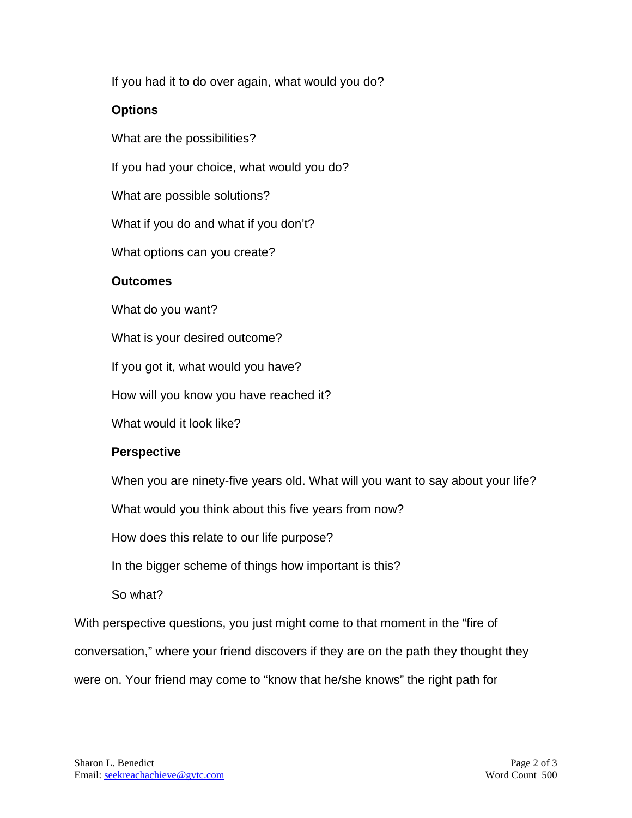If you had it to do over again, what would you do?

# **Options**

What are the possibilities?

If you had your choice, what would you do?

What are possible solutions?

What if you do and what if you don't?

What options can you create?

# **Outcomes**

What do you want?

What is your desired outcome?

If you got it, what would you have?

How will you know you have reached it?

What would it look like?

# **Perspective**

When you are ninety-five years old. What will you want to say about your life?

What would you think about this five years from now?

How does this relate to our life purpose?

In the bigger scheme of things how important is this?

So what?

With perspective questions, you just might come to that moment in the "fire of conversation," where your friend discovers if they are on the path they thought they were on. Your friend may come to "know that he/she knows" the right path for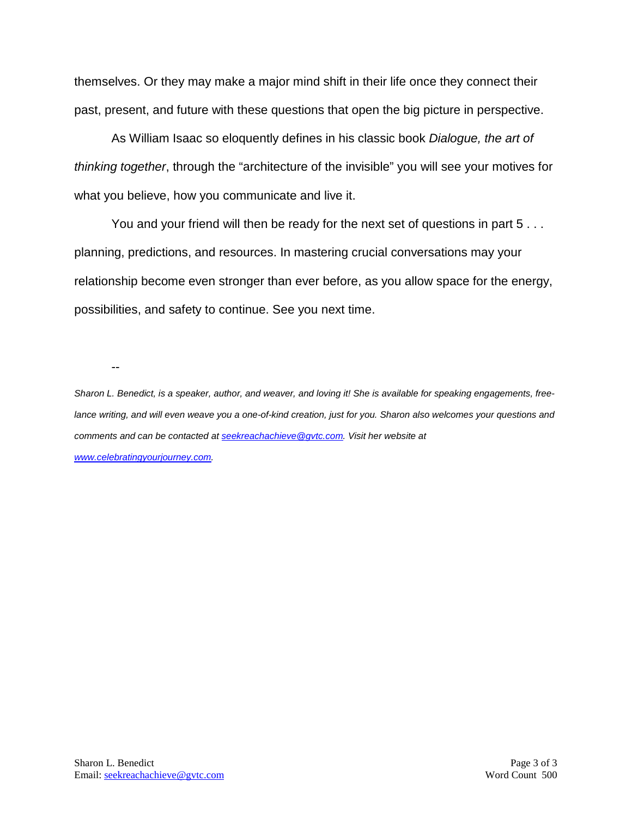themselves. Or they may make a major mind shift in their life once they connect their past, present, and future with these questions that open the big picture in perspective.

As William Isaac so eloquently defines in his classic book *Dialogue, the art of thinking together*, through the "architecture of the invisible" you will see your motives for what you believe, how you communicate and live it.

You and your friend will then be ready for the next set of questions in part 5 . . . planning, predictions, and resources. In mastering crucial conversations may your relationship become even stronger than ever before, as you allow space for the energy, possibilities, and safety to continue. See you next time.

--

*Sharon L. Benedict, is a speaker, author, and weaver, and loving it! She is available for speaking engagements, freelance writing, and will even weave you a one-of-kind creation, just for you. Sharon also welcomes your questions and comments and can be contacted a[t seekreachachieve@gvtc.com.](mailto:seekreachachieve@gvtc.com) Visit her website at [www.celebratingyourjourney.com.](http://www.celebratingyourjourney.com/)*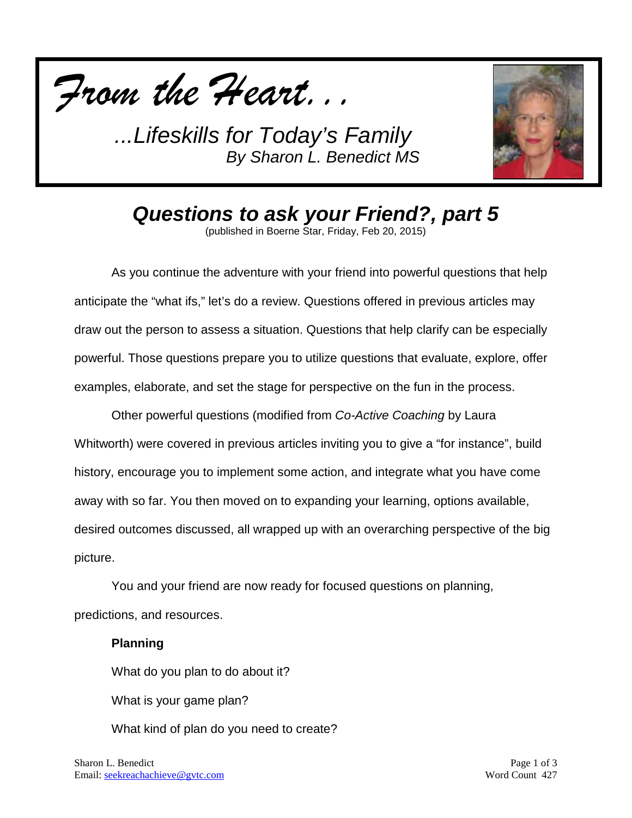



*Questions to ask your Friend?, part 5*

(published in Boerne Star, Friday, Feb 20, 2015)

As you continue the adventure with your friend into powerful questions that help anticipate the "what ifs," let's do a review. Questions offered in previous articles may draw out the person to assess a situation. Questions that help clarify can be especially powerful. Those questions prepare you to utilize questions that evaluate, explore, offer examples, elaborate, and set the stage for perspective on the fun in the process.

Other powerful questions (modified from *Co-Active Coaching* by Laura Whitworth) were covered in previous articles inviting you to give a "for instance", build history, encourage you to implement some action, and integrate what you have come away with so far. You then moved on to expanding your learning, options available, desired outcomes discussed, all wrapped up with an overarching perspective of the big picture.

You and your friend are now ready for focused questions on planning, predictions, and resources.

## **Planning**

What do you plan to do about it?

What is your game plan?

What kind of plan do you need to create?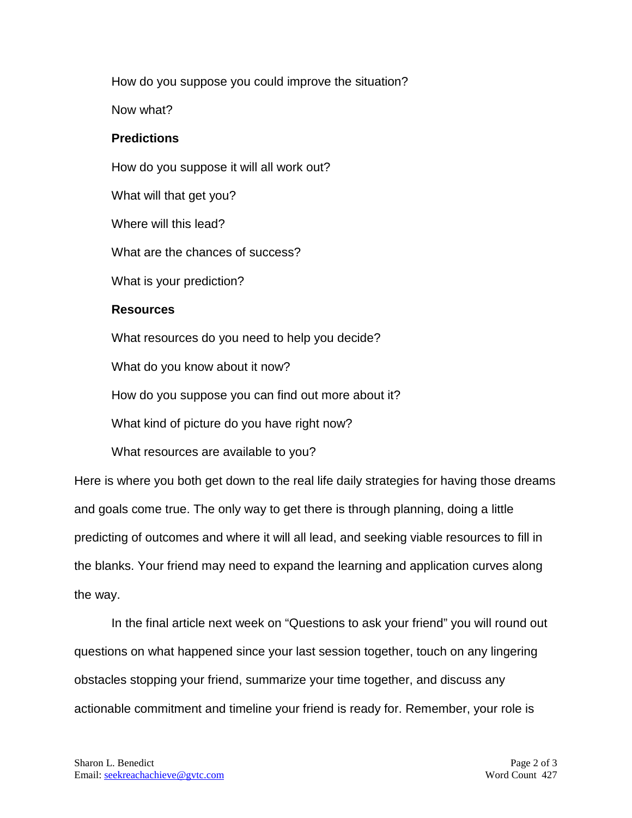How do you suppose you could improve the situation?

Now what?

## **Predictions**

How do you suppose it will all work out?

What will that get you?

Where will this lead?

What are the chances of success?

What is your prediction?

# **Resources**

What resources do you need to help you decide?

What do you know about it now?

How do you suppose you can find out more about it?

What kind of picture do you have right now?

What resources are available to you?

Here is where you both get down to the real life daily strategies for having those dreams and goals come true. The only way to get there is through planning, doing a little predicting of outcomes and where it will all lead, and seeking viable resources to fill in the blanks. Your friend may need to expand the learning and application curves along the way.

In the final article next week on "Questions to ask your friend" you will round out questions on what happened since your last session together, touch on any lingering obstacles stopping your friend, summarize your time together, and discuss any actionable commitment and timeline your friend is ready for. Remember, your role is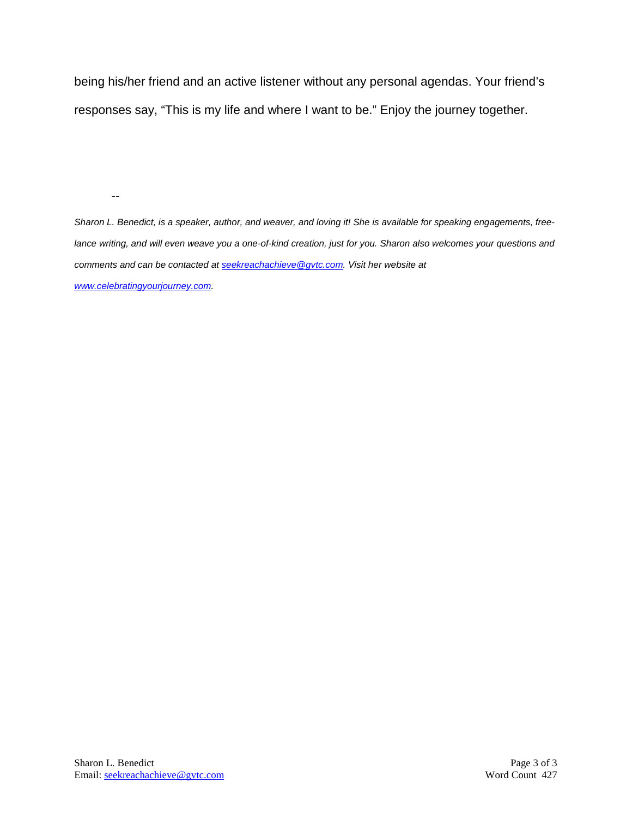being his/her friend and an active listener without any personal agendas. Your friend's responses say, "This is my life and where I want to be." Enjoy the journey together.

--

*Sharon L. Benedict, is a speaker, author, and weaver, and loving it! She is available for speaking engagements, freelance writing, and will even weave you a one-of-kind creation, just for you. Sharon also welcomes your questions and comments and can be contacted a[t seekreachachieve@gvtc.com.](mailto:seekreachachieve@gvtc.com) Visit her website at [www.celebratingyourjourney.com.](http://www.celebratingyourjourney.com/)*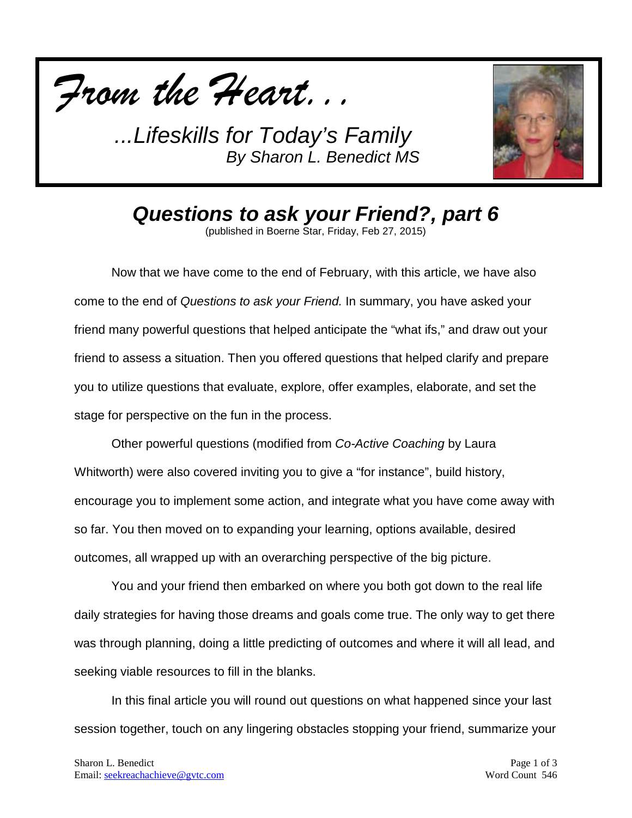



*Questions to ask your Friend?, part 6*

(published in Boerne Star, Friday, Feb 27, 2015)

Now that we have come to the end of February, with this article, we have also come to the end of *Questions to ask your Friend.* In summary, you have asked your friend many powerful questions that helped anticipate the "what ifs," and draw out your friend to assess a situation. Then you offered questions that helped clarify and prepare you to utilize questions that evaluate, explore, offer examples, elaborate, and set the stage for perspective on the fun in the process.

Other powerful questions (modified from *Co-Active Coaching* by Laura Whitworth) were also covered inviting you to give a "for instance", build history, encourage you to implement some action, and integrate what you have come away with so far. You then moved on to expanding your learning, options available, desired outcomes, all wrapped up with an overarching perspective of the big picture.

You and your friend then embarked on where you both got down to the real life daily strategies for having those dreams and goals come true. The only way to get there was through planning, doing a little predicting of outcomes and where it will all lead, and seeking viable resources to fill in the blanks.

In this final article you will round out questions on what happened since your last session together, touch on any lingering obstacles stopping your friend, summarize your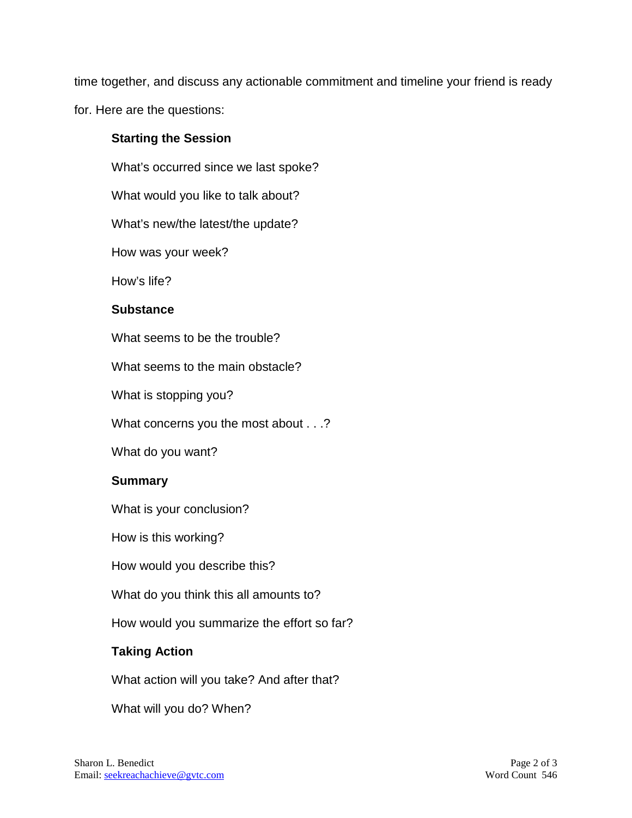time together, and discuss any actionable commitment and timeline your friend is ready

for. Here are the questions:

#### **Starting the Session**

What's occurred since we last spoke?

What would you like to talk about?

What's new/the latest/the update?

How was your week?

How's life?

#### **Substance**

What seems to be the trouble?

What seems to the main obstacle?

What is stopping you?

What concerns you the most about . . .?

What do you want?

## **Summary**

What is your conclusion?

How is this working?

How would you describe this?

What do you think this all amounts to?

How would you summarize the effort so far?

## **Taking Action**

What action will you take? And after that?

What will you do? When?